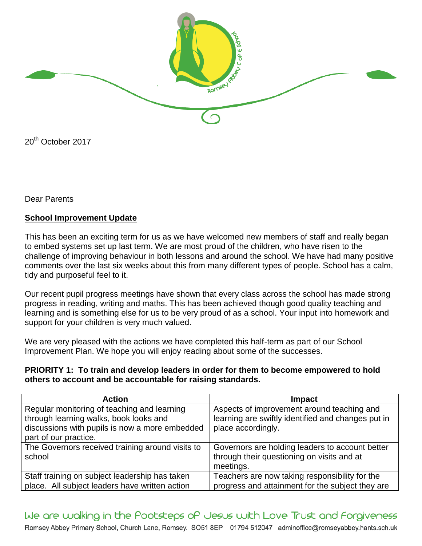

20<sup>th</sup> October 2017

Dear Parents

# **School Improvement Update**

This has been an exciting term for us as we have welcomed new members of staff and really began to embed systems set up last term. We are most proud of the children, who have risen to the challenge of improving behaviour in both lessons and around the school. We have had many positive comments over the last six weeks about this from many different types of people. School has a calm, tidy and purposeful feel to it.

Our recent pupil progress meetings have shown that every class across the school has made strong progress in reading, writing and maths. This has been achieved though good quality teaching and learning and is something else for us to be very proud of as a school. Your input into homework and support for your children is very much valued.

We are very pleased with the actions we have completed this half-term as part of our School Improvement Plan. We hope you will enjoy reading about some of the successes.

#### **PRIORITY 1: To train and develop leaders in order for them to become empowered to hold others to account and be accountable for raising standards.**

| <b>Action</b>                                    | <b>Impact</b>                                      |
|--------------------------------------------------|----------------------------------------------------|
| Regular monitoring of teaching and learning      | Aspects of improvement around teaching and         |
| through learning walks, book looks and           | learning are swiftly identified and changes put in |
| discussions with pupils is now a more embedded   | place accordingly.                                 |
| part of our practice.                            |                                                    |
| The Governors received training around visits to | Governors are holding leaders to account better    |
| school                                           | through their questioning on visits and at         |
|                                                  | meetings.                                          |
| Staff training on subject leadership has taken   | Teachers are now taking responsibility for the     |
| place. All subject leaders have written action   | progress and attainment for the subject they are   |

We are walking in the Pootsteps of Jesus with Love Trust and Forgiveness Romsey Abbey Primary School, Church Lane, Romsey. SO51 8EP 01794 512047 adminoffice@romseyabbey.hants.sch.uk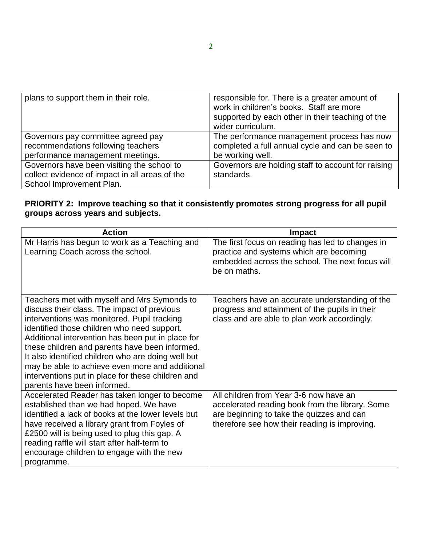| plans to support them in their role.           | responsible for. There is a greater amount of<br>work in children's books. Staff are more<br>supported by each other in their teaching of the<br>wider curriculum. |
|------------------------------------------------|--------------------------------------------------------------------------------------------------------------------------------------------------------------------|
| Governors pay committee agreed pay             | The performance management process has now                                                                                                                         |
| recommendations following teachers             | completed a full annual cycle and can be seen to                                                                                                                   |
| performance management meetings.               | be working well.                                                                                                                                                   |
| Governors have been visiting the school to     | Governors are holding staff to account for raising                                                                                                                 |
| collect evidence of impact in all areas of the | standards.                                                                                                                                                         |
| School Improvement Plan.                       |                                                                                                                                                                    |

# **PRIORITY 2: Improve teaching so that it consistently promotes strong progress for all pupil groups across years and subjects.**

| <b>Action</b>                                                                                                                                                                                                                                                                                                                                                                                                                                                                                | Impact                                                                                                                                                                                  |
|----------------------------------------------------------------------------------------------------------------------------------------------------------------------------------------------------------------------------------------------------------------------------------------------------------------------------------------------------------------------------------------------------------------------------------------------------------------------------------------------|-----------------------------------------------------------------------------------------------------------------------------------------------------------------------------------------|
| Mr Harris has begun to work as a Teaching and<br>Learning Coach across the school.                                                                                                                                                                                                                                                                                                                                                                                                           | The first focus on reading has led to changes in<br>practice and systems which are becoming<br>embedded across the school. The next focus will<br>be on maths.                          |
| Teachers met with myself and Mrs Symonds to<br>discuss their class. The impact of previous<br>interventions was monitored. Pupil tracking<br>identified those children who need support.<br>Additional intervention has been put in place for<br>these children and parents have been informed.<br>It also identified children who are doing well but<br>may be able to achieve even more and additional<br>interventions put in place for these children and<br>parents have been informed. | Teachers have an accurate understanding of the<br>progress and attainment of the pupils in their<br>class and are able to plan work accordingly.                                        |
| Accelerated Reader has taken longer to become<br>established than we had hoped. We have<br>identified a lack of books at the lower levels but<br>have received a library grant from Foyles of<br>£2500 will is being used to plug this gap. A<br>reading raffle will start after half-term to<br>encourage children to engage with the new<br>programme.                                                                                                                                     | All children from Year 3-6 now have an<br>accelerated reading book from the library. Some<br>are beginning to take the quizzes and can<br>therefore see how their reading is improving. |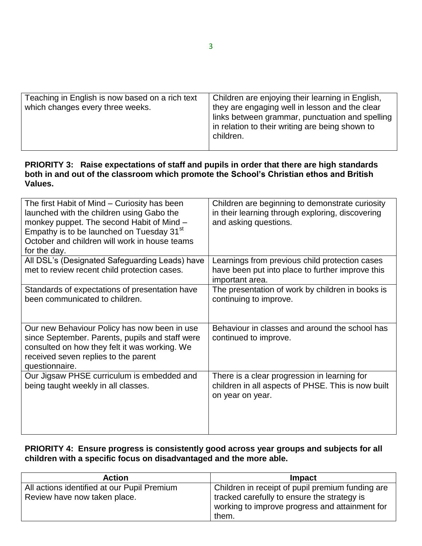| Teaching in English is now based on a rich text<br>which changes every three weeks. | Children are enjoying their learning in English,<br>they are engaging well in lesson and the clear<br>links between grammar, punctuation and spelling<br>in relation to their writing are being shown to<br>children. |
|-------------------------------------------------------------------------------------|-----------------------------------------------------------------------------------------------------------------------------------------------------------------------------------------------------------------------|

# **PRIORITY 3: Raise expectations of staff and pupils in order that there are high standards both in and out of the classroom which promote the School's Christian ethos and British Values.**

| The first Habit of Mind - Curiosity has been<br>launched with the children using Gabo the<br>monkey puppet. The second Habit of Mind -<br>Empathy is to be launched on Tuesday 31 <sup>st</sup><br>October and children will work in house teams<br>for the day. | Children are beginning to demonstrate curiosity<br>in their learning through exploring, discovering<br>and asking questions. |
|------------------------------------------------------------------------------------------------------------------------------------------------------------------------------------------------------------------------------------------------------------------|------------------------------------------------------------------------------------------------------------------------------|
| All DSL's (Designated Safeguarding Leads) have<br>met to review recent child protection cases.                                                                                                                                                                   | Learnings from previous child protection cases<br>have been put into place to further improve this<br>important area.        |
| Standards of expectations of presentation have<br>been communicated to children.                                                                                                                                                                                 | The presentation of work by children in books is<br>continuing to improve.                                                   |
| Our new Behaviour Policy has now been in use<br>since September. Parents, pupils and staff were<br>consulted on how they felt it was working. We<br>received seven replies to the parent<br>questionnaire.                                                       | Behaviour in classes and around the school has<br>continued to improve.                                                      |
| Our Jigsaw PHSE curriculum is embedded and<br>being taught weekly in all classes.                                                                                                                                                                                | There is a clear progression in learning for<br>children in all aspects of PHSE. This is now built<br>on year on year.       |

## **PRIORITY 4: Ensure progress is consistently good across year groups and subjects for all children with a specific focus on disadvantaged and the more able.**

| <b>Action</b>                               | <b>Impact</b>                                    |
|---------------------------------------------|--------------------------------------------------|
| All actions identified at our Pupil Premium | Children in receipt of pupil premium funding are |
| Review have now taken place.                | I tracked carefully to ensure the strategy is    |
|                                             | working to improve progress and attainment for   |
|                                             | them.                                            |